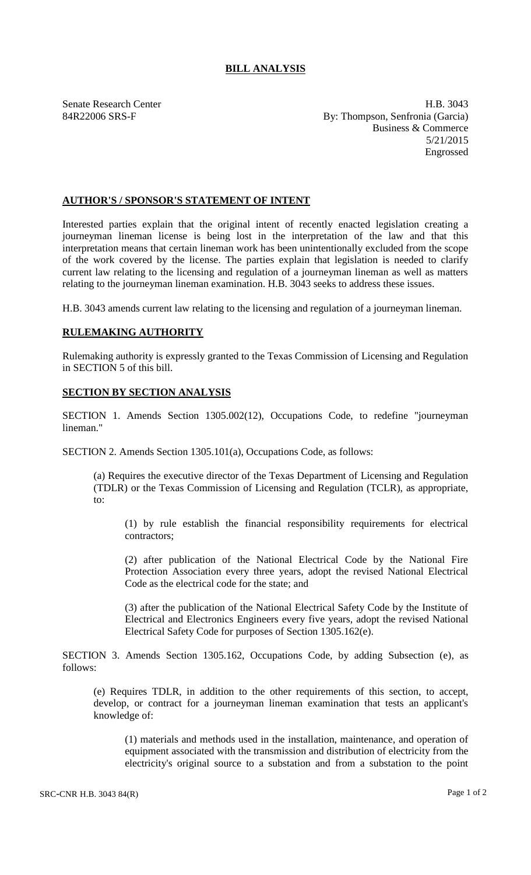## **BILL ANALYSIS**

Senate Research Center **H.B.** 3043 84R22006 SRS-F By: Thompson, Senfronia (Garcia) Business & Commerce 5/21/2015 Engrossed

## **AUTHOR'S / SPONSOR'S STATEMENT OF INTENT**

Interested parties explain that the original intent of recently enacted legislation creating a journeyman lineman license is being lost in the interpretation of the law and that this interpretation means that certain lineman work has been unintentionally excluded from the scope of the work covered by the license. The parties explain that legislation is needed to clarify current law relating to the licensing and regulation of a journeyman lineman as well as matters relating to the journeyman lineman examination. H.B. 3043 seeks to address these issues.

H.B. 3043 amends current law relating to the licensing and regulation of a journeyman lineman.

## **RULEMAKING AUTHORITY**

Rulemaking authority is expressly granted to the Texas Commission of Licensing and Regulation in SECTION 5 of this bill.

## **SECTION BY SECTION ANALYSIS**

SECTION 1. Amends Section 1305.002(12), Occupations Code, to redefine "journeyman lineman."

SECTION 2. Amends Section 1305.101(a), Occupations Code, as follows:

(a) Requires the executive director of the Texas Department of Licensing and Regulation (TDLR) or the Texas Commission of Licensing and Regulation (TCLR), as appropriate, to:

(1) by rule establish the financial responsibility requirements for electrical contractors;

(2) after publication of the National Electrical Code by the National Fire Protection Association every three years, adopt the revised National Electrical Code as the electrical code for the state; and

(3) after the publication of the National Electrical Safety Code by the Institute of Electrical and Electronics Engineers every five years, adopt the revised National Electrical Safety Code for purposes of Section 1305.162(e).

SECTION 3. Amends Section 1305.162, Occupations Code, by adding Subsection (e), as follows:

(e) Requires TDLR, in addition to the other requirements of this section, to accept, develop, or contract for a journeyman lineman examination that tests an applicant's knowledge of:

(1) materials and methods used in the installation, maintenance, and operation of equipment associated with the transmission and distribution of electricity from the electricity's original source to a substation and from a substation to the point